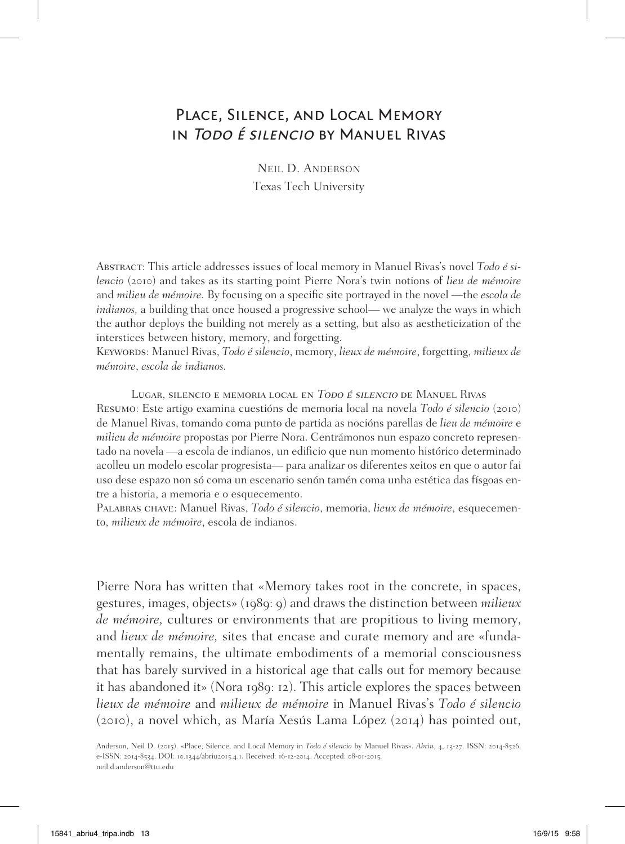# Place, Silence, and Local Memory in Todo é silencio by Manuel Rivas

Neil D. Anderson Texas Tech University

Abstract: This article addresses issues of local memory in Manuel Rivas's novel *Todo é silencio* (2010) and takes as its starting point Pierre Nora's twin notions of *lieu de mémoire* and *milieu de mémoire.* By focusing on a specific site portrayed in the novel —the *escola de indianos,* a building that once housed a progressive school— we analyze the ways in which the author deploys the building not merely as a setting, but also as aestheticization of the interstices between history, memory, and forgetting.

Keywords: Manuel Rivas, *Todo é silencio*, memory, *lieux de mémoire*, forgetting, *milieux de mémoire*, *escola de indianos.*

Lugar, silencio e memoria local en Todo é silencio de Manuel Rivas Resumo: Este artigo examina cuestións de memoria local na novela *Todo é silencio* (2010) de Manuel Rivas, tomando coma punto de partida as nocións parellas de *lieu de mémoire* e *milieu de mémoire* propostas por Pierre Nora. Centrámonos nun espazo concreto representado na novela —a escola de indianos, un edificio que nun momento histórico determinado acolleu un modelo escolar progresista— para analizar os diferentes xeitos en que o autor fai uso dese espazo non só coma un escenario senón tamén coma unha estética das físgoas entre a historia, a memoria e o esquecemento.

Palabras chave: Manuel Rivas, *Todo é silencio*, memoria, *lieux de mémoire*, esquecemento, *milieux de mémoire*, escola de indianos.

Pierre Nora has written that «Memory takes root in the concrete, in spaces, gestures, images, objects» (1989: 9) and draws the distinction between *milieux de mémoire,* cultures or environments that are propitious to living memory, and *lieux de mémoire,* sites that encase and curate memory and are «fundamentally remains, the ultimate embodiments of a memorial consciousness that has barely survived in a historical age that calls out for memory because it has abandoned it» (Nora 1989: 12). This article explores the spaces between *lieux de mémoire* and *milieux de mémoire* in Manuel Rivas's *Todo é silencio*  (2010), a novel which, as María Xesús Lama López (2014) has pointed out,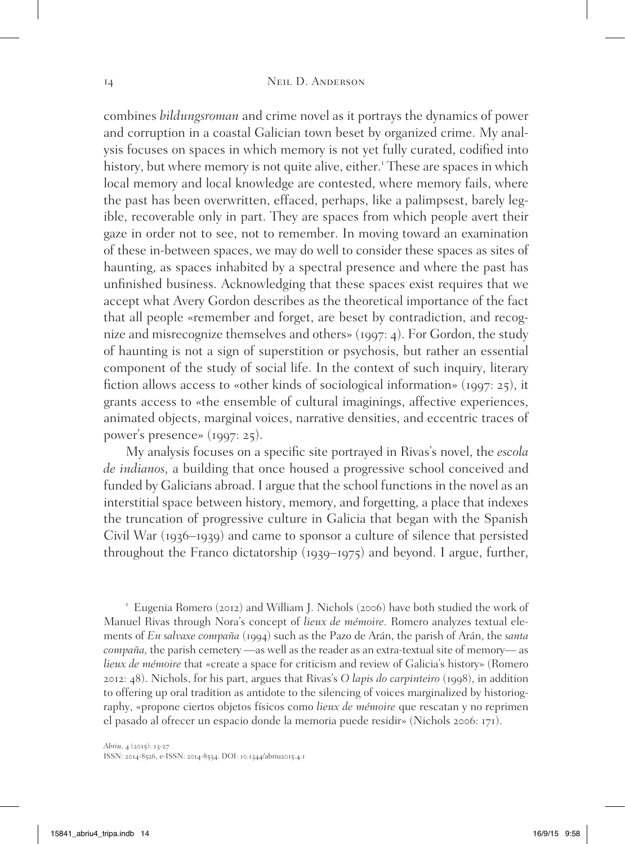combines *bildungsroman* and crime novel as it portrays the dynamics of power and corruption in a coastal Galician town beset by organized crime. My analysis focuses on spaces in which memory is not yet fully curated, codified into history, but where memory is not quite alive, either.<sup>1</sup> These are spaces in which local memory and local knowledge are contested, where memory fails, where the past has been overwritten, effaced, perhaps, like a palimpsest, barely legible, recoverable only in part. They are spaces from which people avert their gaze in order not to see, not to remember. In moving toward an examination of these in-between spaces, we may do well to consider these spaces as sites of haunting, as spaces inhabited by a spectral presence and where the past has unfinished business. Acknowledging that these spaces exist requires that we accept what Avery Gordon describes as the theoretical importance of the fact that all people «remember and forget, are beset by contradiction, and recognize and misrecognize themselves and others» (1997: 4). For Gordon, the study of haunting is not a sign of superstition or psychosis, but rather an essential component of the study of social life. In the context of such inquiry, literary fiction allows access to «other kinds of sociological information» (1997: 25), it grants access to «the ensemble of cultural imaginings, affective experiences, animated objects, marginal voices, narrative densities, and eccentric traces of power's presence» (1997: 25).

My analysis focuses on a specific site portrayed in Rivas's novel, the *escola de indianos,* a building that once housed a progressive school conceived and funded by Galicians abroad. I argue that the school functions in the novel as an interstitial space between history, memory, and forgetting, a place that indexes the truncation of progressive culture in Galicia that began with the Spanish Civil War (1936–1939) and came to sponsor a culture of silence that persisted throughout the Franco dictatorship (1939–1975) and beyond. I argue, further,

<sup>1</sup> Eugenia Romero (2012) and William J. Nichols (2006) have both studied the work of Manuel Rivas through Nora's concept of *lieux de mémoire.* Romero analyzes textual elements of *En salvaxe compaña* (1994) such as the Pazo de Arán, the parish of Arán, the *santa compaña,* the parish cemetery —as well as the reader as an extra-textual site of memory— as *lieux de mémoire* that «create a space for criticism and review of Galicia's history» (Romero 2012: 48). Nichols, for his part, argues that Rivas's *O lapis do carpinteiro* (1998), in addition to offering up oral tradition as antidote to the silencing of voices marginalized by historiography, «propone ciertos objetos físicos como *lieux de mémoire* que rescatan y no reprimen el pasado al ofrecer un espacio donde la memoria puede residir» (Nichols 2006: 171).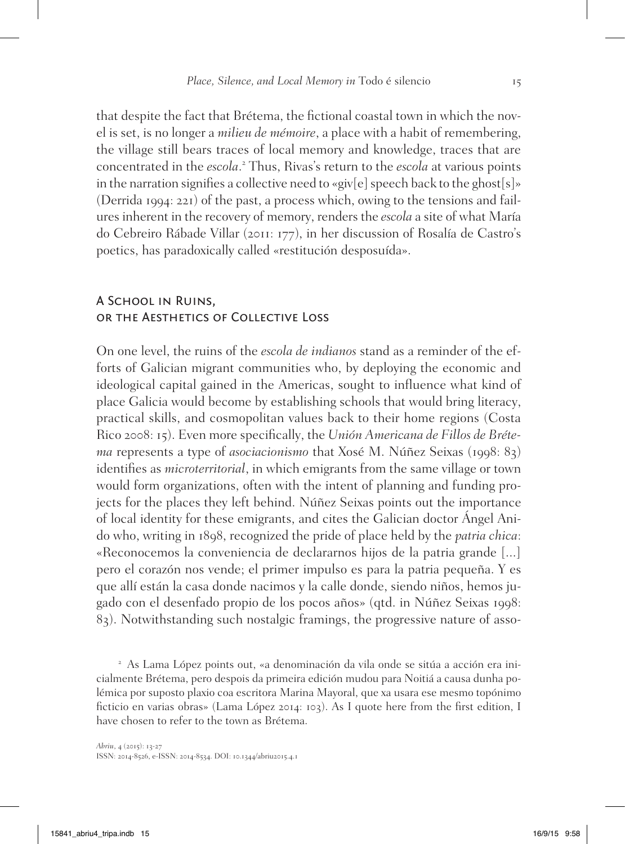that despite the fact that Brétema, the fictional coastal town in which the novel is set, is no longer a *milieu de mémoire*, a place with a habit of remembering, the village still bears traces of local memory and knowledge, traces that are concentrated in the *escola*. 2 Thus, Rivas's return to the *escola* at various points in the narration signifies a collective need to «giv[e] speech back to the ghost[s]» (Derrida 1994: 221) of the past, a process which, owing to the tensions and failures inherent in the recovery of memory, renders the *escola* a site of what María do Cebreiro Rábade Villar (2011: 177), in her discussion of Rosalía de Castro's poetics, has paradoxically called «restitución desposuída».

# A School in Ruins, or the Aesthetics of Collective Loss

On one level, the ruins of the *escola de indianos* stand as a reminder of the efforts of Galician migrant communities who, by deploying the economic and ideological capital gained in the Americas, sought to influence what kind of place Galicia would become by establishing schools that would bring literacy, practical skills, and cosmopolitan values back to their home regions (Costa Rico 2008: 15). Even more specifically, the *Unión Americana de Fillos de Brétema* represents a type of *asociacionismo* that Xosé M. Núñez Seixas (1998: 83) identifies as *microterritorial*, in which emigrants from the same village or town would form organizations, often with the intent of planning and funding projects for the places they left behind. Núñez Seixas points out the importance of local identity for these emigrants, and cites the Galician doctor Ángel Anido who, writing in 1898, recognized the pride of place held by the *patria chica*: «Reconocemos la conveniencia de declararnos hijos de la patria grande [...] pero el corazón nos vende; el primer impulso es para la patria pequeña. Y es que allí están la casa donde nacimos y la calle donde, siendo niños, hemos jugado con el desenfado propio de los pocos años» (qtd. in Núñez Seixas 1998: 83). Notwithstanding such nostalgic framings, the progressive nature of asso-

<sup>2</sup> As Lama López points out, «a denominación da vila onde se sitúa a acción era inicialmente Brétema, pero despois da primeira edición mudou para Noitiá a causa dunha polémica por suposto plaxio coa escritora Marina Mayoral, que xa usara ese mesmo topónimo ficticio en varias obras» (Lama López 2014: 103). As I quote here from the first edition, I have chosen to refer to the town as Brétema.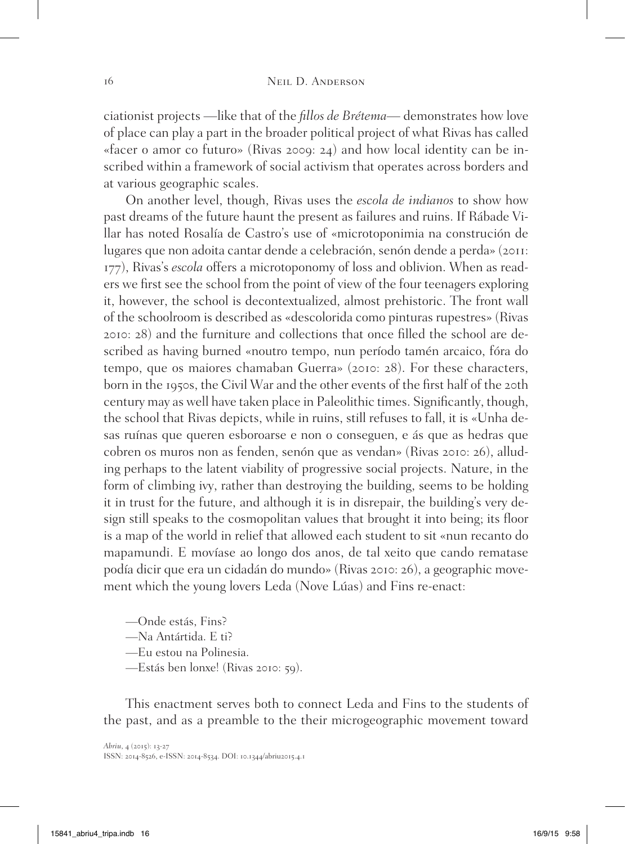ciationist projects —like that of the *fillos de Brétema*— demonstrates how love of place can play a part in the broader political project of what Rivas has called «facer o amor co futuro» (Rivas 2009: 24) and how local identity can be inscribed within a framework of social activism that operates across borders and at various geographic scales.

On another level, though, Rivas uses the *escola de indianos* to show how past dreams of the future haunt the present as failures and ruins. If Rábade Villar has noted Rosalía de Castro's use of «microtoponimia na construción de lugares que non adoita cantar dende a celebración, senón dende a perda» (2011: 177), Rivas's *escola* offers a microtoponomy of loss and oblivion. When as readers we first see the school from the point of view of the four teenagers exploring it, however, the school is decontextualized, almost prehistoric. The front wall of the schoolroom is described as «descolorida como pinturas rupestres» (Rivas 2010: 28) and the furniture and collections that once filled the school are described as having burned «noutro tempo, nun período tamén arcaico, fóra do tempo, que os maiores chamaban Guerra» (2010: 28). For these characters, born in the 1950s, the Civil War and the other events of the first half of the 20th century may as well have taken place in Paleolithic times. Significantly, though, the school that Rivas depicts, while in ruins, still refuses to fall, it is «Unha desas ruínas que queren esboroarse e non o conseguen, e ás que as hedras que cobren os muros non as fenden, senón que as vendan» (Rivas 2010: 26), alluding perhaps to the latent viability of progressive social projects. Nature, in the form of climbing ivy, rather than destroying the building, seems to be holding it in trust for the future, and although it is in disrepair, the building's very design still speaks to the cosmopolitan values that brought it into being; its floor is a map of the world in relief that allowed each student to sit «nun recanto do mapamundi. E movíase ao longo dos anos, de tal xeito que cando rematase podía dicir que era un cidadán do mundo» (Rivas 2010: 26), a geographic movement which the young lovers Leda (Nove Lúas) and Fins re-enact:

—Onde estás, Fins?

- —Na Antártida. E ti?
- —Eu estou na Polinesia.
- —Estás ben lonxe! (Rivas 2010: 59).

This enactment serves both to connect Leda and Fins to the students of the past, and as a preamble to the their microgeographic movement toward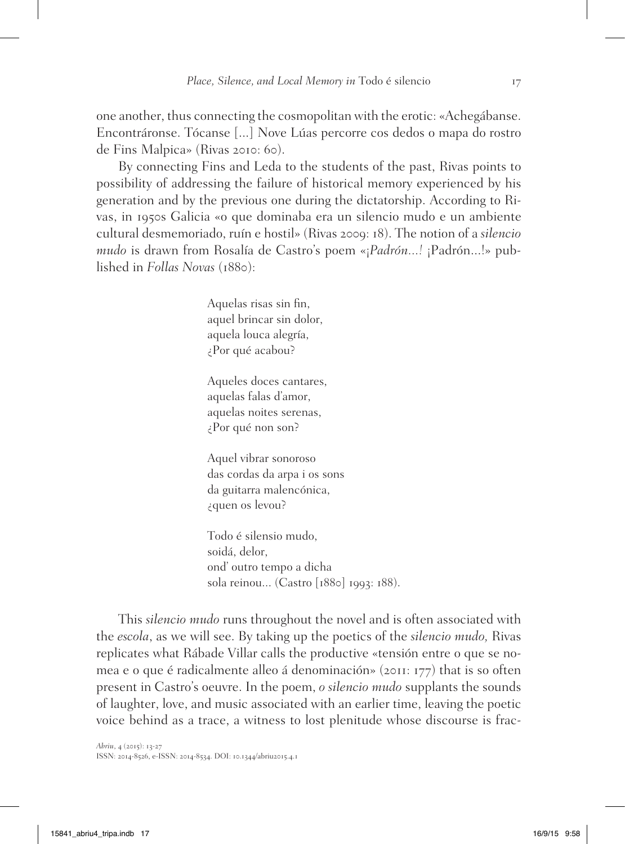one another, thus connecting the cosmopolitan with the erotic: «Achegábanse. Encontráronse. Tócanse [...] Nove Lúas percorre cos dedos o mapa do rostro de Fins Malpica» (Rivas 2010: 60).

By connecting Fins and Leda to the students of the past, Rivas points to possibility of addressing the failure of historical memory experienced by his generation and by the previous one during the dictatorship. According to Rivas, in 1950s Galicia «o que dominaba era un silencio mudo e un ambiente cultural desmemoriado, ruín e hostil» (Rivas 2009: 18). The notion of a *silencio mudo* is drawn from Rosalía de Castro's poem «¡*Padrón...!* ¡Padrón...!» published in *Follas Novas* (1880):

> Aquelas risas sin fin, aquel brincar sin dolor, aquela louca alegría, ¿Por qué acabou?

Aqueles doces cantares, aquelas falas d'amor, aquelas noites serenas, ¿Por qué non son?

Aquel vibrar sonoroso das cordas da arpa i os sons da guitarra malencónica, ¿quen os levou?

Todo é silensio mudo, soidá, delor, ond' outro tempo a dicha sola reinou... (Castro [1880] 1993: 188).

This *silencio mudo* runs throughout the novel and is often associated with the *escola*, as we will see. By taking up the poetics of the *silencio mudo,* Rivas replicates what Rábade Villar calls the productive «tensión entre o que se nomea e o que é radicalmente alleo á denominación» (2011: 177) that is so often present in Castro's oeuvre. In the poem, *o silencio mudo* supplants the sounds of laughter, love, and music associated with an earlier time, leaving the poetic voice behind as a trace, a witness to lost plenitude whose discourse is frac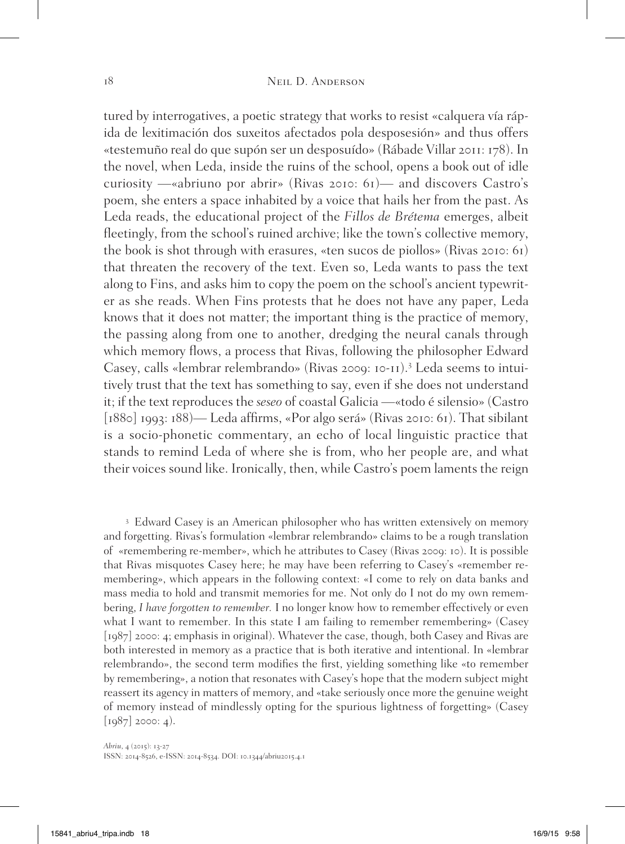tured by interrogatives, a poetic strategy that works to resist «calquera vía rápida de lexitimación dos suxeitos afectados pola desposesión» and thus offers «testemuño real do que supón ser un desposuído» (Rábade Villar 2011: 178). In the novel, when Leda, inside the ruins of the school, opens a book out of idle curiosity —«abriuno por abrir» (Rivas 2010: 61)— and discovers Castro's poem, she enters a space inhabited by a voice that hails her from the past. As Leda reads, the educational project of the *Fillos de Brétema* emerges, albeit fleetingly, from the school's ruined archive; like the town's collective memory, the book is shot through with erasures, «ten sucos de piollos» (Rivas 2010: 61) that threaten the recovery of the text. Even so, Leda wants to pass the text along to Fins, and asks him to copy the poem on the school's ancient typewriter as she reads. When Fins protests that he does not have any paper, Leda knows that it does not matter; the important thing is the practice of memory, the passing along from one to another, dredging the neural canals through which memory flows, a process that Rivas, following the philosopher Edward Casey, calls «lembrar relembrando» (Rivas 2009: 10-11).<sup>3</sup> Leda seems to intuitively trust that the text has something to say, even if she does not understand it; if the text reproduces the *seseo* of coastal Galicia —«todo é silensio» (Castro [1880] 1993: 188)— Leda affirms, «Por algo será» (Rivas 2010: 61). That sibilant is a socio-phonetic commentary, an echo of local linguistic practice that stands to remind Leda of where she is from, who her people are, and what their voices sound like. Ironically, then, while Castro's poem laments the reign

<sup>3</sup> Edward Casey is an American philosopher who has written extensively on memory and forgetting. Rivas's formulation «lembrar relembrando» claims to be a rough translation of «remembering re-member», which he attributes to Casey (Rivas 2009: 10). It is possible that Rivas misquotes Casey here; he may have been referring to Casey's «remember remembering», which appears in the following context: «I come to rely on data banks and mass media to hold and transmit memories for me. Not only do I not do my own remembering, *I have forgotten to remember.* I no longer know how to remember effectively or even what I want to remember. In this state I am failing to remember remembering» (Casey [1987] 2000: 4; emphasis in original). Whatever the case, though, both Casey and Rivas are both interested in memory as a practice that is both iterative and intentional. In «lembrar relembrando», the second term modifies the first, yielding something like «to remember by remembering», a notion that resonates with Casey's hope that the modern subject might reassert its agency in matters of memory, and «take seriously once more the genuine weight of memory instead of mindlessly opting for the spurious lightness of forgetting» (Casey  $[1987] 2000: 4$ .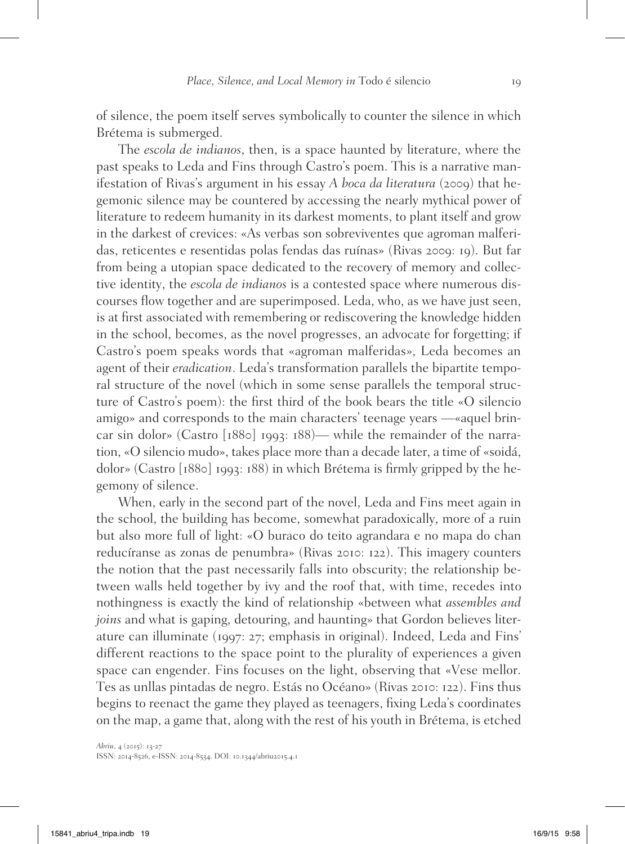of silence, the poem itself serves symbolically to counter the silence in which Brétema is submerged.

The *escola de indianos*, then, is a space haunted by literature, where the past speaks to Leda and Fins through Castro's poem. This is a narrative manifestation of Rivas's argument in his essay *A boca da literatura* (2009) that hegemonic silence may be countered by accessing the nearly mythical power of literature to redeem humanity in its darkest moments, to plant itself and grow in the darkest of crevices: «As verbas son sobreviventes que agroman malferidas, reticentes e resentidas polas fendas das ruínas» (Rivas 2009: 19). But far from being a utopian space dedicated to the recovery of memory and collective identity, the *escola de indianos* is a contested space where numerous discourses flow together and are superimposed. Leda, who, as we have just seen, is at first associated with remembering or rediscovering the knowledge hidden in the school, becomes, as the novel progresses, an advocate for forgetting; if Castro's poem speaks words that «agroman malferidas», Leda becomes an agent of their *eradication*. Leda's transformation parallels the bipartite temporal structure of the novel (which in some sense parallels the temporal structure of Castro's poem): the first third of the book bears the title «O silencio amigo» and corresponds to the main characters' teenage years —«aquel brincar sin dolor» (Castro [1880] 1993: 188)— while the remainder of the narration, «O silencio mudo», takes place more than a decade later, a time of «soidá, dolor» (Castro [1880] 1993: 188) in which Brétema is firmly gripped by the hegemony of silence.

When, early in the second part of the novel, Leda and Fins meet again in the school, the building has become, somewhat paradoxically, more of a ruin but also more full of light: «O buraco do teito agrandara e no mapa do chan reducíranse as zonas de penumbra» (Rivas 2010: 122). This imagery counters the notion that the past necessarily falls into obscurity; the relationship between walls held together by ivy and the roof that, with time, recedes into nothingness is exactly the kind of relationship «between what *assembles and joins* and what is gaping, detouring, and haunting» that Gordon believes literature can illuminate (1997: 27; emphasis in original). Indeed, Leda and Fins' different reactions to the space point to the plurality of experiences a given space can engender. Fins focuses on the light, observing that «Vese mellor. Tes as unllas pintadas de negro. Estás no Océano» (Rivas 2010: 122). Fins thus begins to reenact the game they played as teenagers, fixing Leda's coordinates on the map, a game that, along with the rest of his youth in Brétema, is etched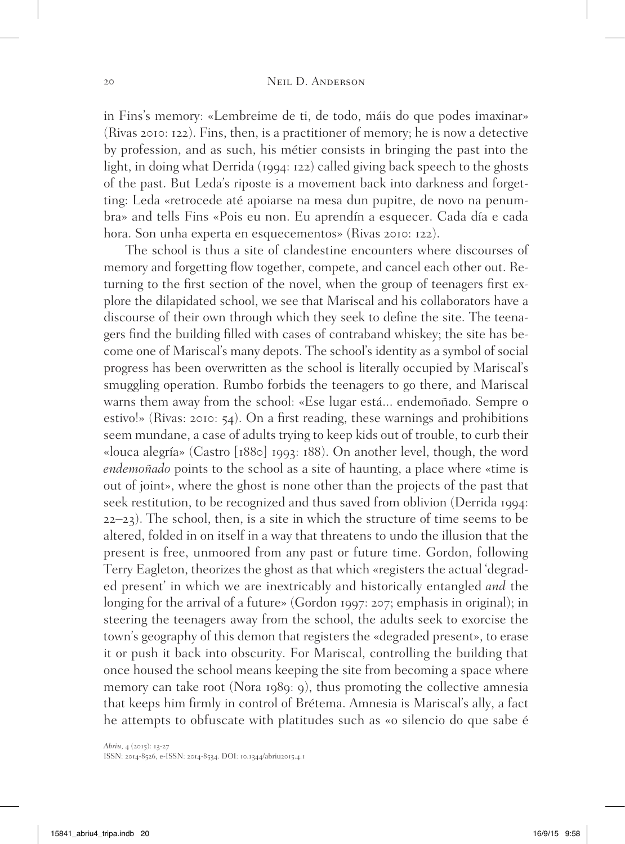in Fins's memory: «Lembreime de ti, de todo, máis do que podes imaxinar» (Rivas 2010: 122). Fins, then, is a practitioner of memory; he is now a detective by profession, and as such, his métier consists in bringing the past into the light, in doing what Derrida (1994: 122) called giving back speech to the ghosts of the past. But Leda's riposte is a movement back into darkness and forgetting: Leda «retrocede até apoiarse na mesa dun pupitre, de novo na penumbra» and tells Fins «Pois eu non. Eu aprendín a esquecer. Cada día e cada hora. Son unha experta en esquecementos» (Rivas 2010: 122).

The school is thus a site of clandestine encounters where discourses of memory and forgetting flow together, compete, and cancel each other out. Returning to the first section of the novel, when the group of teenagers first explore the dilapidated school, we see that Mariscal and his collaborators have a discourse of their own through which they seek to define the site. The teenagers find the building filled with cases of contraband whiskey; the site has become one of Mariscal's many depots. The school's identity as a symbol of social progress has been overwritten as the school is literally occupied by Mariscal's smuggling operation. Rumbo forbids the teenagers to go there, and Mariscal warns them away from the school: «Ese lugar está... endemoñado. Sempre o estivo!» (Rivas: 2010: 54). On a first reading, these warnings and prohibitions seem mundane, a case of adults trying to keep kids out of trouble, to curb their «louca alegría» (Castro [1880] 1993: 188). On another level, though, the word *endemoñado* points to the school as a site of haunting, a place where «time is out of joint», where the ghost is none other than the projects of the past that seek restitution, to be recognized and thus saved from oblivion (Derrida 1994: 22–23). The school, then, is a site in which the structure of time seems to be altered, folded in on itself in a way that threatens to undo the illusion that the present is free, unmoored from any past or future time. Gordon, following Terry Eagleton, theorizes the ghost as that which «registers the actual 'degraded present' in which we are inextricably and historically entangled *and* the longing for the arrival of a future» (Gordon 1997: 207; emphasis in original); in steering the teenagers away from the school, the adults seek to exorcise the town's geography of this demon that registers the «degraded present», to erase it or push it back into obscurity. For Mariscal, controlling the building that once housed the school means keeping the site from becoming a space where memory can take root (Nora 1989: 9), thus promoting the collective amnesia that keeps him firmly in control of Brétema. Amnesia is Mariscal's ally, a fact he attempts to obfuscate with platitudes such as «o silencio do que sabe é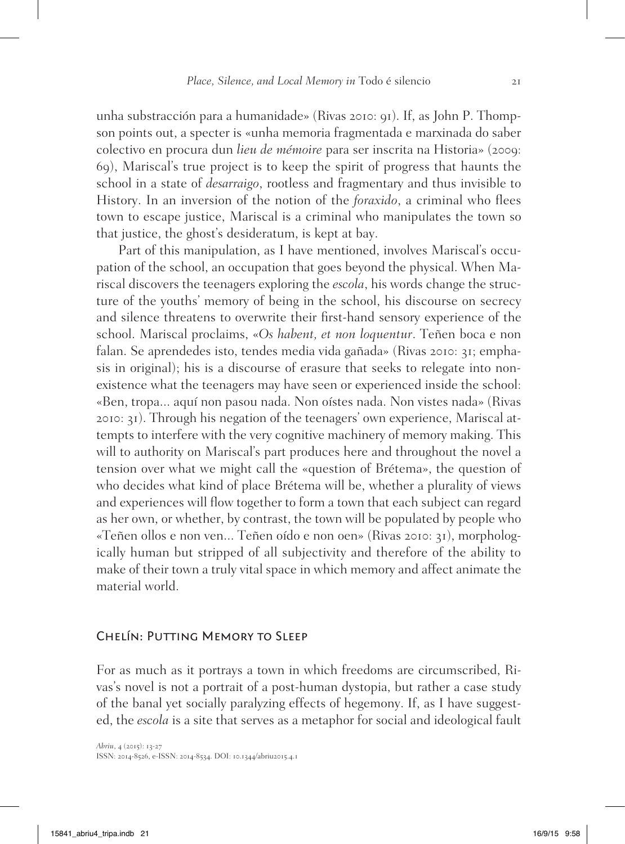unha substracción para a humanidade» (Rivas 2010: 91). If, as John P. Thompson points out, a specter is «unha memoria fragmentada e marxinada do saber colectivo en procura dun *lieu de mémoire* para ser inscrita na Historia» (2009: 69), Mariscal's true project is to keep the spirit of progress that haunts the school in a state of *desarraigo*, rootless and fragmentary and thus invisible to History. In an inversion of the notion of the *foraxido*, a criminal who flees town to escape justice, Mariscal is a criminal who manipulates the town so that justice, the ghost's desideratum, is kept at bay.

Part of this manipulation, as I have mentioned, involves Mariscal's occupation of the school, an occupation that goes beyond the physical. When Mariscal discovers the teenagers exploring the *escola*, his words change the structure of the youths' memory of being in the school, his discourse on secrecy and silence threatens to overwrite their first-hand sensory experience of the school. Mariscal proclaims, «*Os habent, et non loquentur*. Teñen boca e non falan. Se aprendedes isto, tendes media vida gañada» (Rivas 2010: 31; emphasis in original); his is a discourse of erasure that seeks to relegate into nonexistence what the teenagers may have seen or experienced inside the school: «Ben, tropa... aquí non pasou nada. Non oístes nada. Non vistes nada» (Rivas 2010: 31). Through his negation of the teenagers' own experience, Mariscal attempts to interfere with the very cognitive machinery of memory making. This will to authority on Mariscal's part produces here and throughout the novel a tension over what we might call the «question of Brétema», the question of who decides what kind of place Brétema will be, whether a plurality of views and experiences will flow together to form a town that each subject can regard as her own, or whether, by contrast, the town will be populated by people who «Teñen ollos e non ven... Teñen oído e non oen» (Rivas 2010: 31), morphologically human but stripped of all subjectivity and therefore of the ability to make of their town a truly vital space in which memory and affect animate the material world.

#### Chelín: Putting Memory to Sleep

For as much as it portrays a town in which freedoms are circumscribed, Rivas's novel is not a portrait of a post-human dystopia, but rather a case study of the banal yet socially paralyzing effects of hegemony. If, as I have suggested, the *escola* is a site that serves as a metaphor for social and ideological fault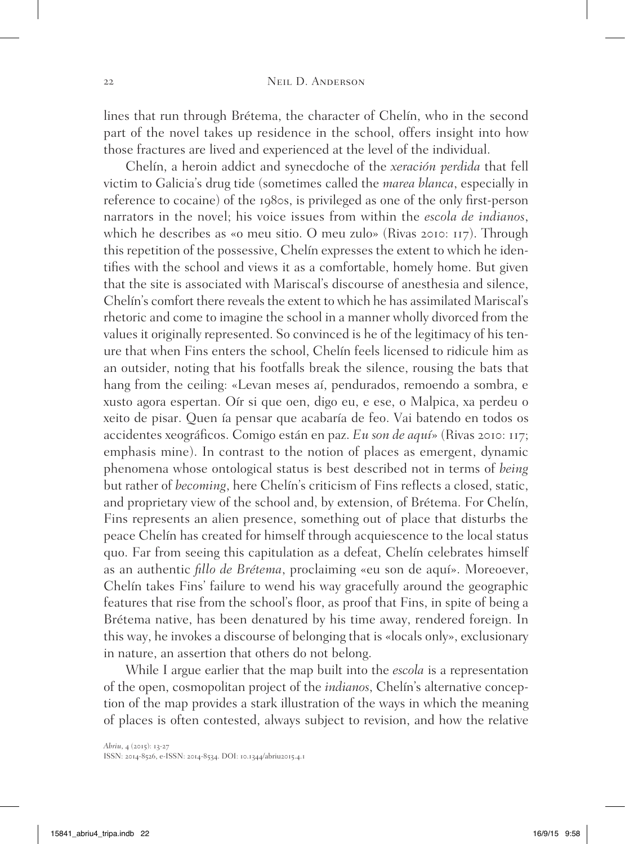lines that run through Brétema, the character of Chelín, who in the second part of the novel takes up residence in the school, offers insight into how those fractures are lived and experienced at the level of the individual.

Chelín, a heroin addict and synecdoche of the *xeración perdida* that fell victim to Galicia's drug tide (sometimes called the *marea blanca*, especially in reference to cocaine) of the 1980s, is privileged as one of the only first-person narrators in the novel; his voice issues from within the *escola de indianos*, which he describes as «o meu sitio. O meu zulo» (Rivas 2010: 117). Through this repetition of the possessive, Chelín expresses the extent to which he identifies with the school and views it as a comfortable, homely home. But given that the site is associated with Mariscal's discourse of anesthesia and silence, Chelín's comfort there reveals the extent to which he has assimilated Mariscal's rhetoric and come to imagine the school in a manner wholly divorced from the values it originally represented. So convinced is he of the legitimacy of his tenure that when Fins enters the school, Chelín feels licensed to ridicule him as an outsider, noting that his footfalls break the silence, rousing the bats that hang from the ceiling: «Levan meses aí, pendurados, remoendo a sombra, e xusto agora espertan. Oír si que oen, digo eu, e ese, o Malpica, xa perdeu o xeito de pisar. Quen ía pensar que acabaría de feo. Vai batendo en todos os accidentes xeográficos. Comigo están en paz. *Eu son de aquí*» (Rivas 2010: 117; emphasis mine). In contrast to the notion of places as emergent, dynamic phenomena whose ontological status is best described not in terms of *being* but rather of *becoming*, here Chelín's criticism of Fins reflects a closed, static, and proprietary view of the school and, by extension, of Brétema. For Chelín, Fins represents an alien presence, something out of place that disturbs the peace Chelín has created for himself through acquiescence to the local status quo. Far from seeing this capitulation as a defeat, Chelín celebrates himself as an authentic *fillo de Brétema*, proclaiming «eu son de aquí». Moreoever, Chelín takes Fins' failure to wend his way gracefully around the geographic features that rise from the school's floor, as proof that Fins, in spite of being a Brétema native, has been denatured by his time away, rendered foreign. In this way, he invokes a discourse of belonging that is «locals only», exclusionary in nature, an assertion that others do not belong.

While I argue earlier that the map built into the *escola* is a representation of the open, cosmopolitan project of the *indianos*, Chelín's alternative conception of the map provides a stark illustration of the ways in which the meaning of places is often contested, always subject to revision, and how the relative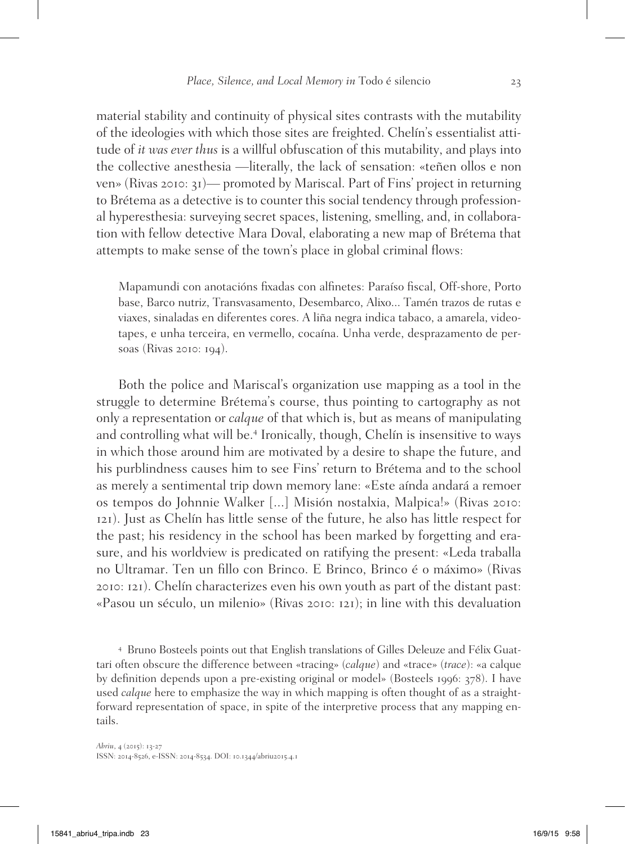material stability and continuity of physical sites contrasts with the mutability of the ideologies with which those sites are freighted. Chelín's essentialist attitude of *it was ever thus* is a willful obfuscation of this mutability, and plays into the collective anesthesia —literally, the lack of sensation: «teñen ollos e non ven» (Rivas 2010: 31)— promoted by Mariscal. Part of Fins' project in returning to Brétema as a detective is to counter this social tendency through professional hyperesthesia: surveying secret spaces, listening, smelling, and, in collaboration with fellow detective Mara Doval, elaborating a new map of Brétema that attempts to make sense of the town's place in global criminal flows:

Mapamundi con anotacións fixadas con alfinetes: Paraíso fiscal, Off-shore, Porto base, Barco nutriz, Transvasamento, Desembarco, Alixo... Tamén trazos de rutas e viaxes, sinaladas en diferentes cores. A liña negra indica tabaco, a amarela, videotapes, e unha terceira, en vermello, cocaína. Unha verde, desprazamento de persoas (Rivas 2010: 194).

Both the police and Mariscal's organization use mapping as a tool in the struggle to determine Brétema's course, thus pointing to cartography as not only a representation or *calque* of that which is, but as means of manipulating and controlling what will be.<sup>4</sup> Ironically, though, Chelín is insensitive to ways in which those around him are motivated by a desire to shape the future, and his purblindness causes him to see Fins' return to Brétema and to the school as merely a sentimental trip down memory lane: «Este aínda andará a remoer os tempos do Johnnie Walker [...] Misión nostalxia, Malpica!» (Rivas 2010: 121). Just as Chelín has little sense of the future, he also has little respect for the past; his residency in the school has been marked by forgetting and erasure, and his worldview is predicated on ratifying the present: «Leda traballa no Ultramar. Ten un fillo con Brinco. E Brinco, Brinco é o máximo» (Rivas 2010: 121). Chelín characterizes even his own youth as part of the distant past: «Pasou un século, un milenio» (Rivas 2010: 121); in line with this devaluation

<sup>4</sup> Bruno Bosteels points out that English translations of Gilles Deleuze and Félix Guattari often obscure the difference between «tracing» (*calque*) and «trace» (*trace*): «a calque by definition depends upon a pre-existing original or model» (Bosteels 1996: 378). I have used *calque* here to emphasize the way in which mapping is often thought of as a straightforward representation of space, in spite of the interpretive process that any mapping entails.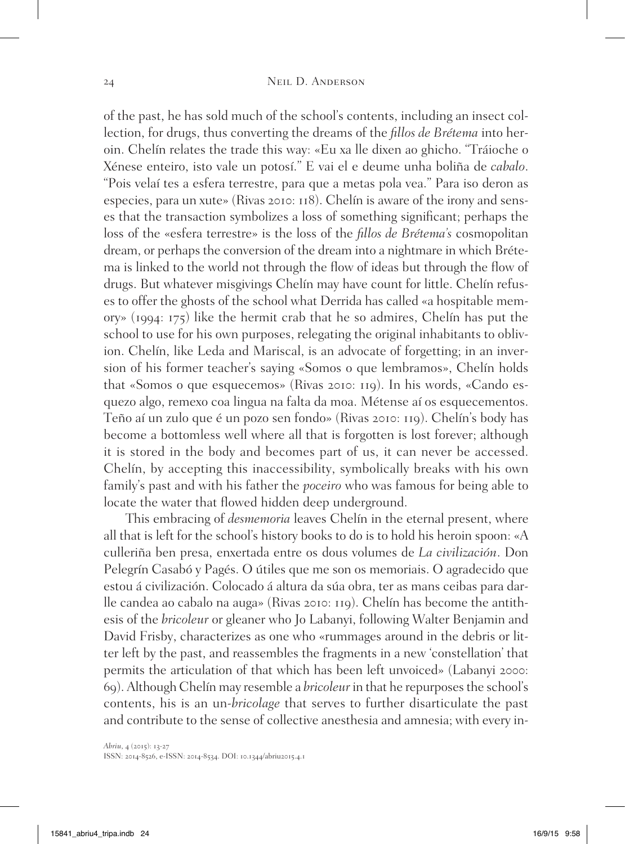of the past, he has sold much of the school's contents, including an insect collection, for drugs, thus converting the dreams of the *fillos de Brétema* into heroin. Chelín relates the trade this way: «Eu xa lle dixen ao ghicho. "Tráioche o Xénese enteiro, isto vale un potosí." E vai el e deume unha boliña de *cabalo*. "Pois velaí tes a esfera terrestre, para que a metas pola vea." Para iso deron as especies, para un xute» (Rivas 2010: 118). Chelín is aware of the irony and senses that the transaction symbolizes a loss of something significant; perhaps the loss of the «esfera terrestre» is the loss of the *fillos de Brétema's* cosmopolitan dream, or perhaps the conversion of the dream into a nightmare in which Brétema is linked to the world not through the flow of ideas but through the flow of drugs. But whatever misgivings Chelín may have count for little. Chelín refuses to offer the ghosts of the school what Derrida has called «a hospitable memory» (1994: 175) like the hermit crab that he so admires, Chelín has put the school to use for his own purposes, relegating the original inhabitants to oblivion. Chelín, like Leda and Mariscal, is an advocate of forgetting; in an inversion of his former teacher's saying «Somos o que lembramos», Chelín holds that «Somos o que esquecemos» (Rivas 2010: 119). In his words, «Cando esquezo algo, remexo coa lingua na falta da moa. Métense aí os esquecementos. Teño aí un zulo que é un pozo sen fondo» (Rivas 2010: 119). Chelín's body has become a bottomless well where all that is forgotten is lost forever; although it is stored in the body and becomes part of us, it can never be accessed. Chelín, by accepting this inaccessibility, symbolically breaks with his own family's past and with his father the *poceiro* who was famous for being able to locate the water that flowed hidden deep underground.

This embracing of *desmemoria* leaves Chelín in the eternal present, where all that is left for the school's history books to do is to hold his heroin spoon: «A culleriña ben presa, enxertada entre os dous volumes de *La civilización*. Don Pelegrín Casabó y Pagés. O útiles que me son os memoriais. O agradecido que estou á civilización. Colocado á altura da súa obra, ter as mans ceibas para darlle candea ao cabalo na auga» (Rivas 2010: 119). Chelín has become the antithesis of the *bricoleur* or gleaner who Jo Labanyi, following Walter Benjamin and David Frisby, characterizes as one who «rummages around in the debris or litter left by the past, and reassembles the fragments in a new 'constellation' that permits the articulation of that which has been left unvoiced» (Labanyi 2000: 69). Although Chelín may resemble a *bricoleur* in that he repurposes the school's contents, his is an un-*bricolage* that serves to further disarticulate the past and contribute to the sense of collective anesthesia and amnesia; with every in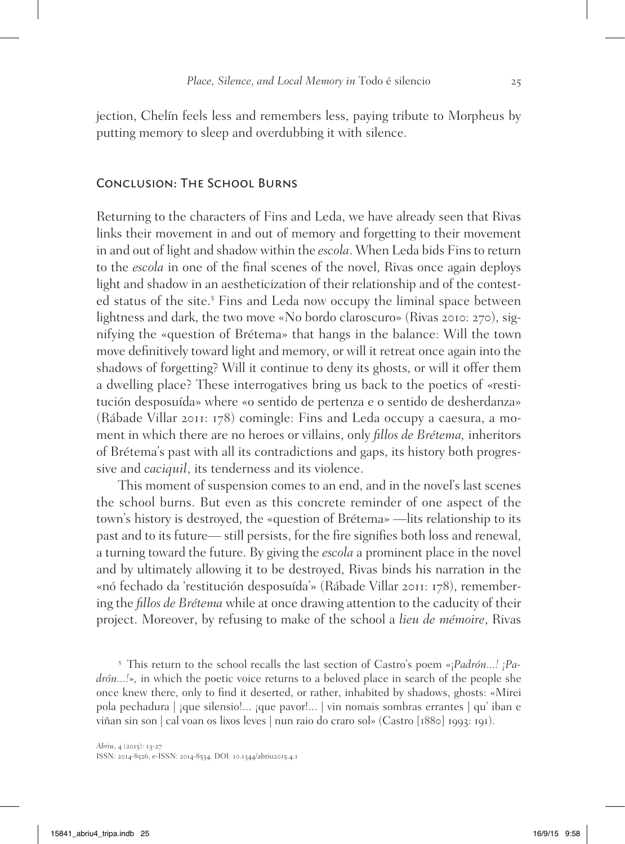jection, Chelín feels less and remembers less, paying tribute to Morpheus by putting memory to sleep and overdubbing it with silence.

## Conclusion: The School Burns

Returning to the characters of Fins and Leda, we have already seen that Rivas links their movement in and out of memory and forgetting to their movement in and out of light and shadow within the *escola*. When Leda bids Fins to return to the *escola* in one of the final scenes of the novel, Rivas once again deploys light and shadow in an aestheticization of their relationship and of the contested status of the site.<sup>5</sup> Fins and Leda now occupy the liminal space between lightness and dark, the two move «No bordo claroscuro» (Rivas 2010: 270), signifying the «question of Brétema» that hangs in the balance: Will the town move definitively toward light and memory, or will it retreat once again into the shadows of forgetting? Will it continue to deny its ghosts, or will it offer them a dwelling place? These interrogatives bring us back to the poetics of «restitución desposuída» where «o sentido de pertenza e o sentido de desherdanza» (Rábade Villar 2011: 178) comingle: Fins and Leda occupy a caesura, a moment in which there are no heroes or villains, only *fillos de Brétema,* inheritors of Brétema's past with all its contradictions and gaps, its history both progressive and *caciquil*, its tenderness and its violence.

This moment of suspension comes to an end, and in the novel's last scenes the school burns. But even as this concrete reminder of one aspect of the town's history is destroyed, the «question of Brétema» —lits relationship to its past and to its future— still persists, for the fire signifies both loss and renewal, a turning toward the future. By giving the *escola* a prominent place in the novel and by ultimately allowing it to be destroyed, Rivas binds his narration in the «nó fechado da 'restitución desposuída'» (Rábade Villar 2011: 178), remembering the *fillos de Brétema* while at once drawing attention to the caducity of their project. Moreover, by refusing to make of the school a *lieu de mémoire*, Rivas

<sup>5</sup> This return to the school recalls the last section of Castro's poem «¡*Padrón...! ¡Padrón...!*»*,* in which the poetic voice returns to a beloved place in search of the people she once knew there, only to find it deserted, or rather, inhabited by shadows, ghosts: «Mirei pola pechadura | ¡que silensio!... ¡que pavor!... | vin nomais sombras errantes | qu' iban e viñan sin son | cal voan os lixos leves | nun raio do craro sol» (Castro [1880] 1993: 191).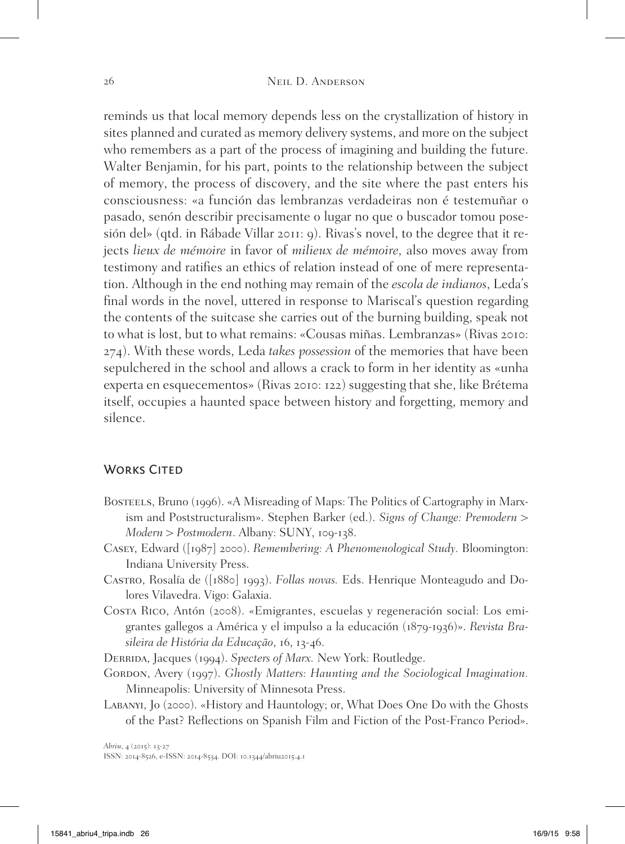reminds us that local memory depends less on the crystallization of history in sites planned and curated as memory delivery systems, and more on the subject who remembers as a part of the process of imagining and building the future. Walter Benjamin, for his part, points to the relationship between the subject of memory, the process of discovery, and the site where the past enters his consciousness: «a función das lembranzas verdadeiras non é testemuñar o pasado, senón describir precisamente o lugar no que o buscador tomou posesión del» (qtd. in Rábade Villar 2011: 9). Rivas's novel, to the degree that it rejects *lieux de mémoire* in favor of *milieux de mémoire,* also moves away from testimony and ratifies an ethics of relation instead of one of mere representation. Although in the end nothing may remain of the *escola de indianos*, Leda's final words in the novel, uttered in response to Mariscal's question regarding the contents of the suitcase she carries out of the burning building, speak not to what is lost, but to what remains: «Cousas miñas. Lembranzas» (Rivas 2010: 274). With these words, Leda *takes possession* of the memories that have been sepulchered in the school and allows a crack to form in her identity as «unha experta en esquecementos» (Rivas 2010: 122) suggesting that she, like Brétema itself, occupies a haunted space between history and forgetting, memory and silence.

## WORKS CITED

- Bosteels, Bruno (1996). «A Misreading of Maps: The Politics of Cartography in Marxism and Poststructuralism». Stephen Barker (ed.). *Signs of Change: Premodern > Modern > Postmodern*. Albany: SUNY, 109-138.
- Casey, Edward ([1987] 2000). *Remembering: A Phenomenological Study.* Bloomington: Indiana University Press.
- Castro, Rosalía de ([1880] 1993). *Follas novas.* Eds. Henrique Monteagudo and Dolores Vilavedra. Vigo: Galaxia.
- Costa Rico, Antón (2008). «Emigrantes, escuelas y regeneración social: Los emigrantes gallegos a América y el impulso a la educación (1879-1936)». *Revista Brasileira de História da Educação*, 16, 13-46.
- Derrida, Jacques (1994). *Specters of Marx.* New York: Routledge.
- GORDON, Avery (1997). *Ghostly Matters: Haunting and the Sociological Imagination.* Minneapolis: University of Minnesota Press.
- Labanyi, Jo (2000). «History and Hauntology; or, What Does One Do with the Ghosts of the Past? Reflections on Spanish Film and Fiction of the Post-Franco Period».